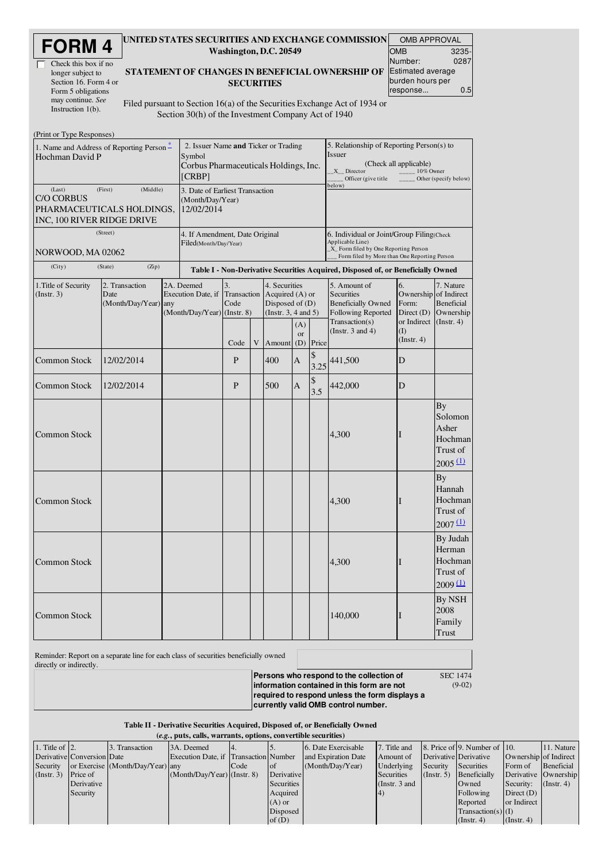| <b>FORM4</b> |  |
|--------------|--|
|--------------|--|

| Check this box if no  |
|-----------------------|
| longer subject to     |
| Section 16. Form 4 or |
| Form 5 obligations    |
| may continue. See     |
| Instruction $1(b)$ .  |

### UNITED STATES SECURITIES AND EXCHANGE COMMISSION OMB APPROVAL Washington, D.C. 20549

| UIVID AFFNUVAL           |       |
|--------------------------|-------|
| <b>OMB</b>               | 3235- |
| Number:                  | 0287  |
| <b>Estimated average</b> |       |
| burden hours per         |       |
| response                 | 0.5   |

#### STATEMENT OF CHANGES IN BENEFICIAL OWNERSHIP OF **SECURITIES**

Filed pursuant to Section 16(a) of the Securities Exchange Act of 1934 or Section 30(h) of the Investment Company Act of 1940

| (Print or Type Responses)                                                                         |                                                                   |                                                         |                                                                                                   |                           |   |                                                                                 |                                                                                                                                                         |                                                                                                                |                                                                                                               |                                                                     |                                                                 |
|---------------------------------------------------------------------------------------------------|-------------------------------------------------------------------|---------------------------------------------------------|---------------------------------------------------------------------------------------------------|---------------------------|---|---------------------------------------------------------------------------------|---------------------------------------------------------------------------------------------------------------------------------------------------------|----------------------------------------------------------------------------------------------------------------|---------------------------------------------------------------------------------------------------------------|---------------------------------------------------------------------|-----------------------------------------------------------------|
| 1. Name and Address of Reporting Person –<br>Hochman David P                                      |                                                                   |                                                         | 2. Issuer Name and Ticker or Trading<br>Symbol<br>Corbus Pharmaceuticals Holdings, Inc.<br>[CRBP] |                           |   |                                                                                 |                                                                                                                                                         | 5. Relationship of Reporting Person(s) to<br><b>Issuer</b><br>$X$ <sub>_</sub> Director<br>Officer (give title | (Check all applicable)<br>10% Owner                                                                           | Other (specify below)                                               |                                                                 |
| (Last)<br>(First)<br><b>C/O CORBUS</b><br>PHARMACEUTICALS HOLDINGS,<br>INC, 100 RIVER RIDGE DRIVE | 3. Date of Earliest Transaction<br>(Month/Day/Year)<br>12/02/2014 |                                                         |                                                                                                   |                           |   | below)                                                                          |                                                                                                                                                         |                                                                                                                |                                                                                                               |                                                                     |                                                                 |
| (Street)<br>NORWOOD, MA 02062                                                                     |                                                                   | 4. If Amendment, Date Original<br>Filed(Month/Day/Year) |                                                                                                   |                           |   |                                                                                 | 6. Individual or Joint/Group Filing(Check<br>Applicable Line)<br>_X_ Form filed by One Reporting Person<br>Form filed by More than One Reporting Person |                                                                                                                |                                                                                                               |                                                                     |                                                                 |
| (City)                                                                                            | (State)<br>(Zip)                                                  |                                                         |                                                                                                   |                           |   |                                                                                 |                                                                                                                                                         |                                                                                                                | Table I - Non-Derivative Securities Acquired, Disposed of, or Beneficially Owned                              |                                                                     |                                                                 |
| 1. Title of Security<br>2. Transaction<br>Date<br>(Instr. 3)<br>(Month/Day/Year) any              |                                                                   |                                                         | 2A. Deemed<br>Execution Date, if<br>(Month/Day/Year) (Instr. 8)                                   | 3.<br>Transaction<br>Code |   | 4. Securities<br>Acquired $(A)$ or<br>Disposed of $(D)$<br>(Insert. 3, 4 and 5) |                                                                                                                                                         |                                                                                                                | 5. Amount of<br><b>Securities</b><br><b>Beneficially Owned</b><br><b>Following Reported</b><br>Transaction(s) | 6.<br>Ownership of Indirect<br>Form:<br>Direct $(D)$<br>or Indirect | 7. Nature<br><b>Beneficial</b><br>Ownership<br>$($ Instr. 4 $)$ |
|                                                                                                   |                                                                   |                                                         |                                                                                                   | Code                      | V | Amount                                                                          | (A)<br>or<br>(D)                                                                                                                                        | Price                                                                                                          | (Instr. $3$ and $4$ )                                                                                         | $($ $\Gamma$<br>(Instr. 4)                                          |                                                                 |
| <b>Common Stock</b>                                                                               | 12/02/2014                                                        |                                                         |                                                                                                   | P                         |   | 400                                                                             | A                                                                                                                                                       | \$<br>3.25                                                                                                     | 441,500                                                                                                       | D                                                                   |                                                                 |
| <b>Common Stock</b>                                                                               | 12/02/2014                                                        |                                                         |                                                                                                   | P                         |   | 500                                                                             | A                                                                                                                                                       | \$<br>3.5                                                                                                      | 442,000                                                                                                       | D                                                                   |                                                                 |
| <b>Common Stock</b>                                                                               |                                                                   |                                                         |                                                                                                   |                           |   |                                                                                 |                                                                                                                                                         |                                                                                                                | 4,300                                                                                                         |                                                                     | Вy<br>Solomon<br>Asher<br>Hochman<br>Trust of<br>2005(1)        |
| Common Stock                                                                                      |                                                                   |                                                         |                                                                                                   |                           |   |                                                                                 |                                                                                                                                                         |                                                                                                                | 4,300                                                                                                         |                                                                     | By<br>Hannah<br>Hochman<br>Trust of<br>$2007 \underline{11}$    |
| <b>Common Stock</b>                                                                               |                                                                   |                                                         |                                                                                                   |                           |   |                                                                                 |                                                                                                                                                         |                                                                                                                | 4,300                                                                                                         | T                                                                   | By Judah<br>Herman<br><b>Hochman</b><br>Trust of<br>2009(1)     |
| <b>Common Stock</b>                                                                               |                                                                   |                                                         |                                                                                                   |                           |   |                                                                                 |                                                                                                                                                         |                                                                                                                | 140,000                                                                                                       |                                                                     | <b>By NSH</b><br>2008<br>Family<br>Trust                        |

Reminder: Report on a separate line for each class of securities beneficially owned

directly or indirectly.

**Persons who respond to the collection of information contained in this form are not required to respond unless the form displays a currently valid OMB control number.** SEC 1474

(9-02)

Table II - Derivative Securities Acquired, Disposed of, or Beneficially Owned (*e.g.*, puts, calls, warrants, options, convertible securities)

| $(0.5)$ , puts, cans, warrants, options, convertible securities |                            |                                  |                                       |      |            |                     |                 |                  |                                      |                       |                  |
|-----------------------------------------------------------------|----------------------------|----------------------------------|---------------------------------------|------|------------|---------------------|-----------------|------------------|--------------------------------------|-----------------------|------------------|
| 1. Title of $\vert$ 2.                                          |                            | 3. Transaction                   | 3A. Deemed                            |      |            | 6. Date Exercisable | 7. Title and    |                  | 8. Price of 9. Number of $\vert$ 10. |                       | 11. Nature       |
|                                                                 | Derivative Conversion Date |                                  | Execution Date, if Transaction Number |      |            | and Expiration Date | Amount of       |                  | Derivative Derivative                | Ownership of Indirect |                  |
| Security                                                        |                            | or Exercise (Month/Day/Year) any |                                       | Code | l of       | (Month/Day/Year)    | Underlying      | Security         | Securities                           | Form of               | Beneficial       |
| $($ Instr. 3 $)$                                                | <b>Price of</b>            |                                  | $(Month/Day/Year)$ (Instr. 8)         |      | Derivative |                     | Securities      | $($ Instr. 5 $)$ | Beneficially                         | Derivative Ownership  |                  |
|                                                                 | Derivative                 |                                  |                                       |      | Securities |                     | (Instr. $3$ and |                  | Owned                                | Security:             | $($ Instr. 4 $)$ |
|                                                                 | Security                   |                                  |                                       |      | Acquired   |                     | 4)              |                  | Following                            | Direct $(D)$          |                  |
|                                                                 |                            |                                  |                                       |      | $(A)$ or   |                     |                 |                  | Reported                             | or Indirect           |                  |
|                                                                 |                            |                                  |                                       |      | Disposed   |                     |                 |                  | $Transaction(s)$ (I)                 |                       |                  |
|                                                                 |                            |                                  |                                       |      | of $(D)$   |                     |                 |                  | $($ Instr. 4 $)$                     | $($ Instr. 4 $)$      |                  |